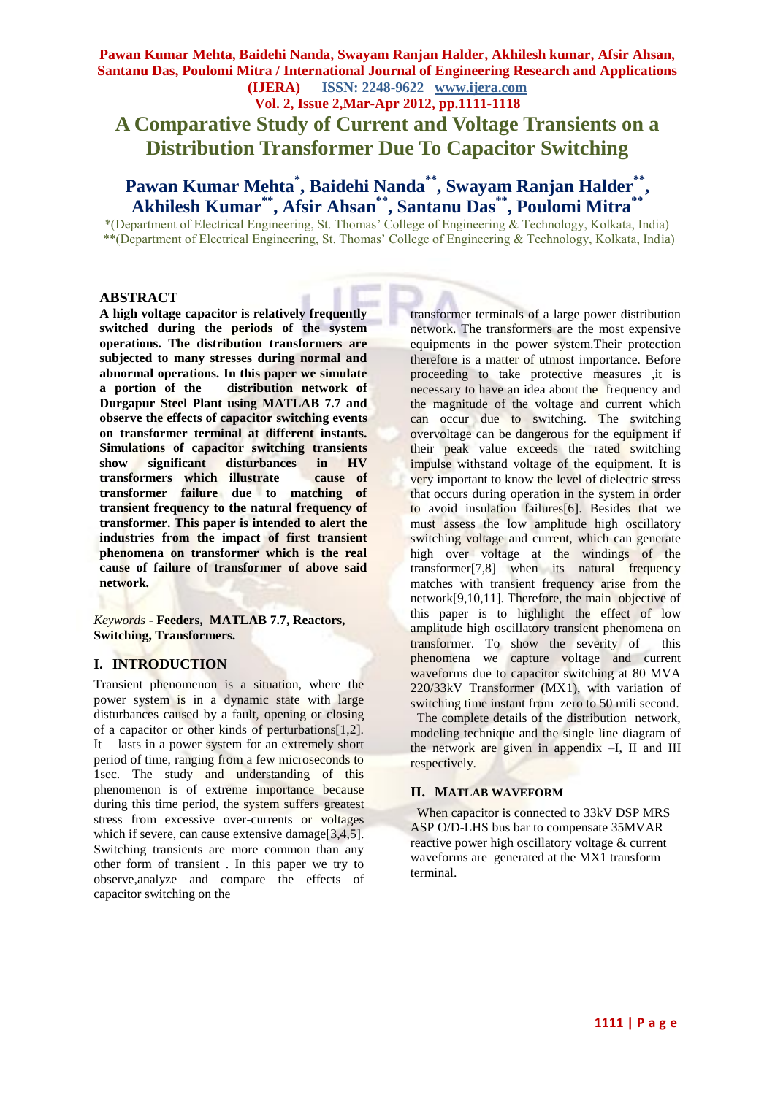**Vol. 2, Issue 2,Mar-Apr 2012, pp.1111-1118**

**A Comparative Study of Current and Voltage Transients on a Distribution Transformer Due To Capacitor Switching**

# **Pawan Kumar Mehta\* , Baidehi Nanda\*\*, Swayam Ranjan Halder\*\* , Akhilesh Kumar\*\* , Afsir Ahsan\*\*, Santanu Das\*\*, Poulomi Mitra\*\***

\*(Department of Electrical Engineering, St. Thomas' College of Engineering & Technology, Kolkata, India) \*\*(Department of Electrical Engineering, St. Thomas' College of Engineering & Technology, Kolkata, India)

#### **ABSTRACT**

**A high voltage capacitor is relatively frequently switched during the periods of the system operations. The distribution transformers are subjected to many stresses during normal and abnormal operations. In this paper we simulate a portion of the distribution network of Durgapur Steel Plant using MATLAB 7.7 and observe the effects of capacitor switching events on transformer terminal at different instants. Simulations of capacitor switching transients show significant disturbances in HV transformers which illustrate cause of transformer failure due to matching of transient frequency to the natural frequency of transformer. This paper is intended to alert the industries from the impact of first transient phenomena on transformer which is the real cause of failure of transformer of above said network.**

*Keywords* **- Feeders, MATLAB 7.7, Reactors, Switching, Transformers.**

### **I. INTRODUCTION**

Transient phenomenon is a situation, where the power system is in a dynamic state with large disturbances caused by a fault, opening or closing of a capacitor or other kinds of perturbations[1,2]. It lasts in a power system for an extremely short period of time, ranging from a few microseconds to 1sec. The study and understanding of this phenomenon is of extreme importance because during this time period, the system suffers greatest stress from excessive over-currents or voltages which if severe, can cause extensive damage<sup>[3,4,5]</sup>. Switching transients are more common than any other form of transient . In this paper we try to observe,analyze and compare the effects of capacitor switching on the

transformer terminals of a large power distribution network. The transformers are the most expensive equipments in the power system.Their protection therefore is a matter of utmost importance. Before proceeding to take protective measures ,it is necessary to have an idea about the frequency and the magnitude of the voltage and current which can occur due to switching. The switching overvoltage can be dangerous for the equipment if their peak value exceeds the rated switching impulse withstand voltage of the equipment. It is very important to know the level of dielectric stress that occurs during operation in the system in order to avoid insulation failures[6]. Besides that we must assess the low amplitude high oscillatory switching voltage and current, which can generate high over voltage at the windings of the transformer[7,8] when its natural frequency matches with transient frequency arise from the network[9,10,11]. Therefore, the main objective of this paper is to highlight the effect of low amplitude high oscillatory transient phenomena on transformer. To show the severity of this phenomena we capture voltage and current waveforms due to capacitor switching at 80 MVA 220/33kV Transformer (MX1), with variation of switching time instant from zero to 50 mili second.

 The complete details of the distribution network, modeling technique and the single line diagram of the network are given in appendix –I, II and III respectively.

#### **II. MATLAB WAVEFORM**

 When capacitor is connected to 33kV DSP MRS ASP O/D-LHS bus bar to compensate 35MVAR reactive power high oscillatory voltage & current waveforms are generated at the MX1 transform terminal.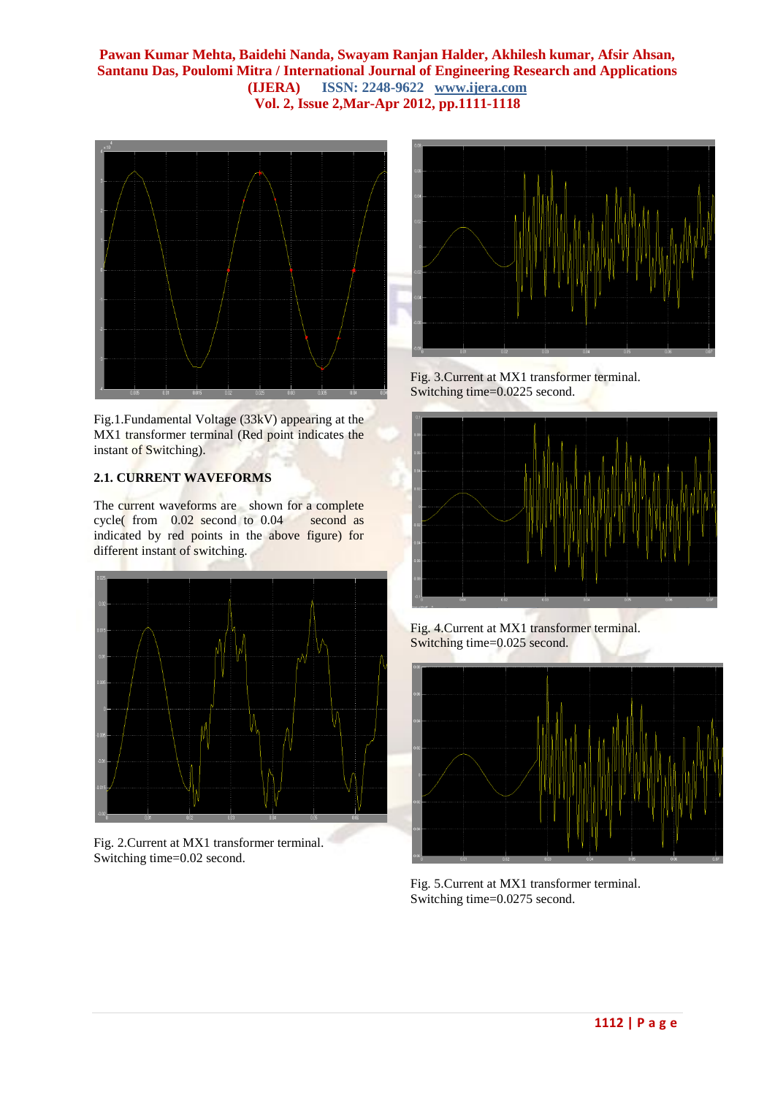

Fig.1.Fundamental Voltage (33kV) appearing at the MX1 transformer terminal (Red point indicates the instant of Switching).

# **2.1. CURRENT WAVEFORMS**

The current waveforms are shown for a complete cycle( from 0.02 second to 0.04 second as indicated by red points in the above figure) for different instant of switching.



Fig. 2.Current at MX1 transformer terminal. Switching time=0.02 second.



Fig. 3.Current at MX1 transformer terminal. Switching time=0.0225 second.



Fig. 4.Current at MX1 transformer terminal. Switching time=0.025 second.



Fig. 5.Current at MX1 transformer terminal. Switching time=0.0275 second.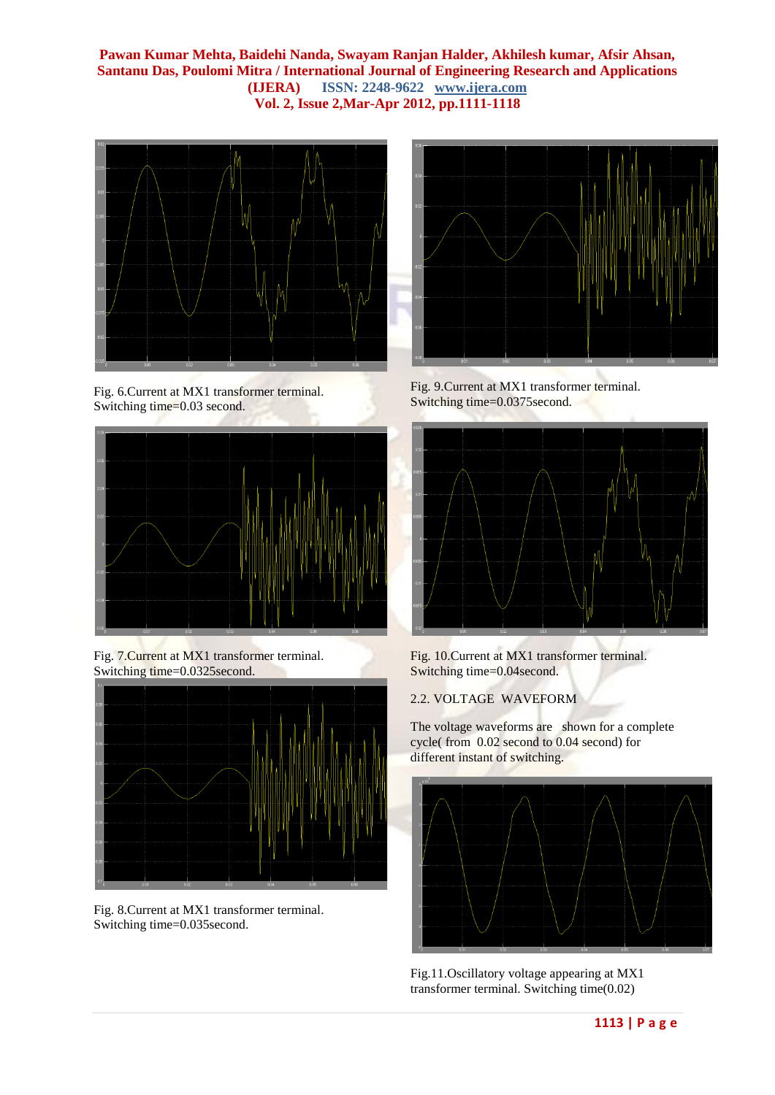

Fig. 6.Current at MX1 transformer terminal. Switching time=0.03 second.



Fig. 7.Current at MX1 transformer terminal. Switching time=0.0325second.



Fig. 8.Current at MX1 transformer terminal. Switching time=0.035second.



Fig. 9.Current at MX1 transformer terminal. Switching time=0.0375second.



Fig. 10.Current at MX1 transformer terminal. Switching time=0.04second.

### 2.2. VOLTAGE WAVEFORM

The voltage waveforms are shown for a complete cycle( from 0.02 second to 0.04 second) for different instant of switching.



Fig.11.Oscillatory voltage appearing at MX1 transformer terminal. Switching time(0.02)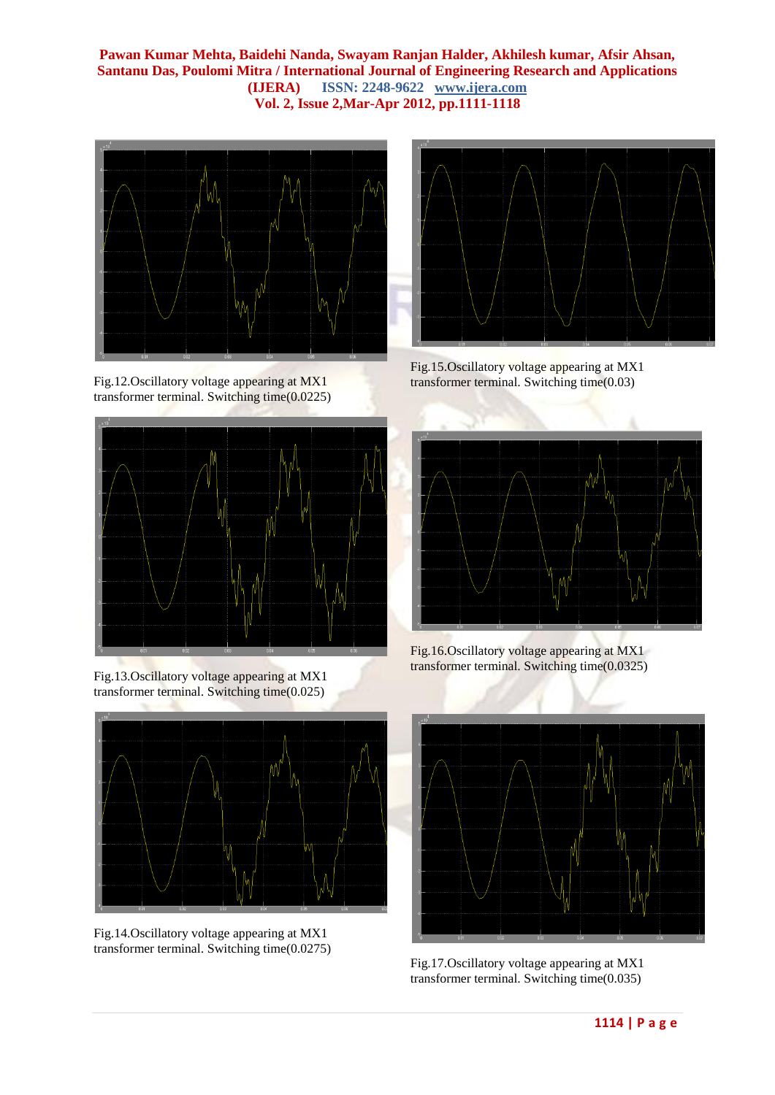

Fig.12.Oscillatory voltage appearing at MX1 transformer terminal. Switching time(0.0225)







Fig.14.Oscillatory voltage appearing at MX1 transformer terminal. Switching time(0.0275)



Fig.15.Oscillatory voltage appearing at MX1 transformer terminal. Switching time(0.03)



Fig.16.Oscillatory voltage appearing at MX1 transformer terminal. Switching time(0.0325)



Fig.17.Oscillatory voltage appearing at MX1 transformer terminal. Switching time(0.035)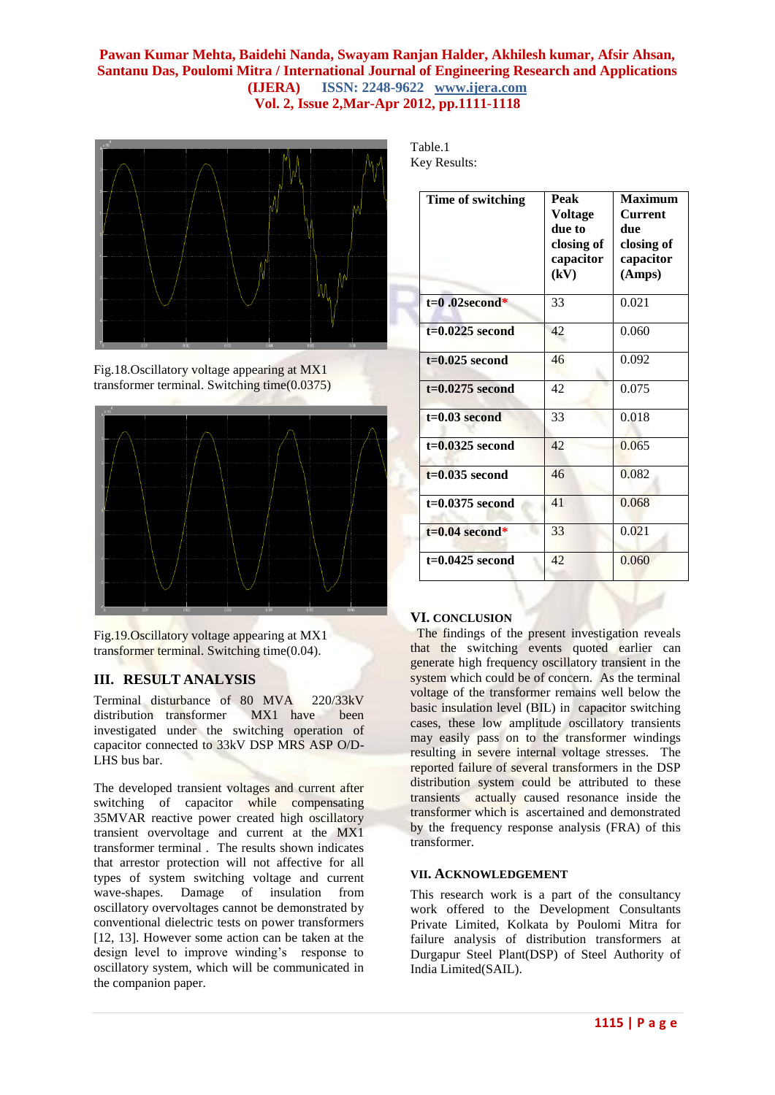

Fig.18.Oscillatory voltage appearing at MX1 transformer terminal. Switching time(0.0375)



Fig.19.Oscillatory voltage appearing at MX1 transformer terminal. Switching time(0.04).

### **III. RESULT ANALYSIS**

Terminal disturbance of 80 MVA 220/33kV distribution transformer MX1 have been investigated under the switching operation of capacitor connected to 33kV DSP MRS ASP O/D-LHS bus bar.

The developed transient voltages and current after switching of capacitor while compensating 35MVAR reactive power created high oscillatory transient overvoltage and current at the MX1 transformer terminal . The results shown indicates that arrestor protection will not affective for all types of system switching voltage and current wave-shapes. Damage of insulation from oscillatory overvoltages cannot be demonstrated by conventional dielectric tests on power transformers [12, 13]. However some action can be taken at the design level to improve winding's response to oscillatory system, which will be communicated in the companion paper.

Table.1 Key Results:

| Time of switching | Peak<br>Voltage<br>due to<br>closing of<br>capacitor<br>(kV) | <b>Maximum</b><br>Current<br>due<br>closing of<br>capacitor<br>(Amps) |
|-------------------|--------------------------------------------------------------|-----------------------------------------------------------------------|
| $t=0.02$ second*  | 33                                                           | 0.021                                                                 |
| $t=0.0225$ second | 42                                                           | 0.060                                                                 |
| $t=0.025$ second  | 46                                                           | 0.092                                                                 |
| $t=0.0275$ second | 42                                                           | 0.075                                                                 |
| $t=0.03$ second   | 33                                                           | 0.018                                                                 |
| $t=0.0325$ second | 42.                                                          | 0.065                                                                 |
| $t=0.035$ second  | 46                                                           | 0.082                                                                 |
| $t=0.0375$ second | 41                                                           | 0.068                                                                 |
| $t=0.04$ second*  | 33                                                           | 0.021                                                                 |
| $t=0.0425$ second | 42                                                           | 0.060                                                                 |

# **VI. CONCLUSION**

 The findings of the present investigation reveals that the switching events quoted earlier can generate high frequency oscillatory transient in the system which could be of concern. As the terminal voltage of the transformer remains well below the basic insulation level (BIL) in capacitor switching cases, these low amplitude oscillatory transients may easily pass on to the transformer windings resulting in severe internal voltage stresses. The reported failure of several transformers in the DSP distribution system could be attributed to these transients actually caused resonance inside the transformer which is ascertained and demonstrated by the frequency response analysis (FRA) of this transformer.

#### **VII. ACKNOWLEDGEMENT**

This research work is a part of the consultancy work offered to the Development Consultants Private Limited, Kolkata by Poulomi Mitra for failure analysis of distribution transformers at Durgapur Steel Plant(DSP) of Steel Authority of India Limited(SAIL).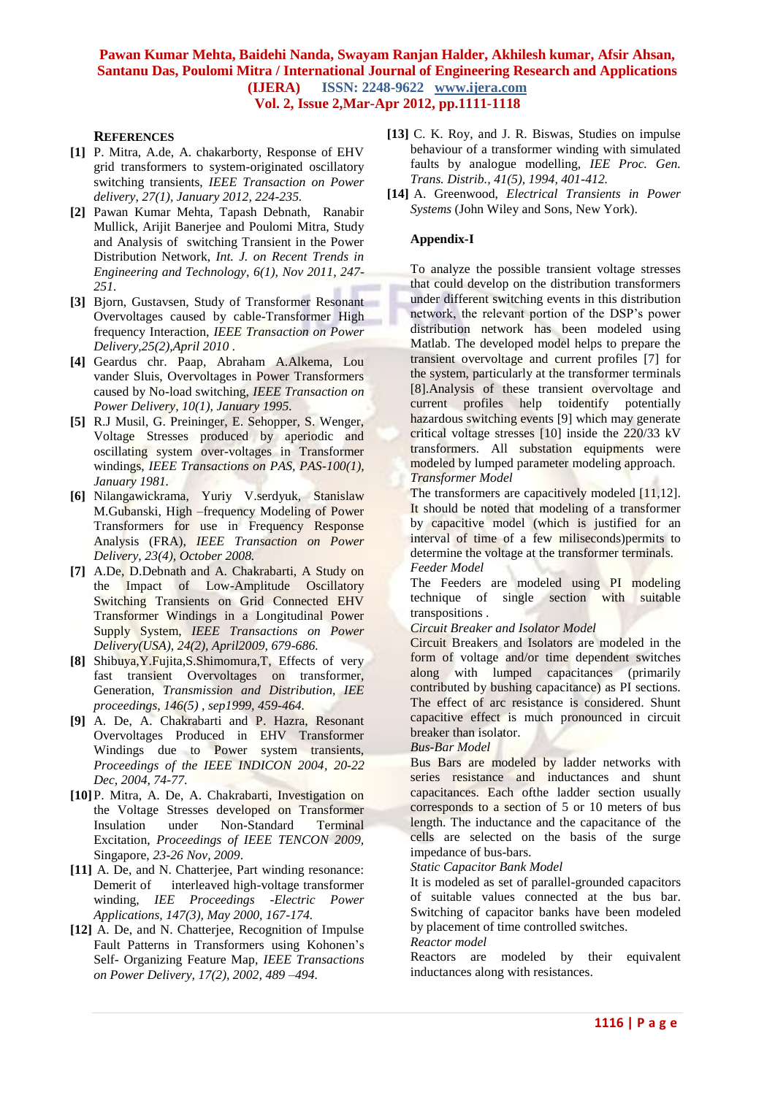#### **REFERENCES**

- **[1]** P. Mitra, A.de, A. chakarborty, Response of EHV grid transformers to system-originated oscillatory switching transients, *IEEE Transaction on Power delivery*, *27(1), January 2012, 224-235.*
- **[2]** Pawan Kumar Mehta, Tapash Debnath, Ranabir Mullick, Arijit Banerjee and Poulomi Mitra, Study and Analysis of switching Transient in the Power Distribution Network, *Int. J. on Recent Trends in Engineering and Technology*, *6(1), Nov 2011, 247- 251.*
- **[3]** Bjorn, Gustavsen, Study of Transformer Resonant Overvoltages caused by cable-Transformer High frequency Interaction, *IEEE Transaction on Power Delivery,25(2),April 2010 .*
- **[4]** Geardus chr. Paap, Abraham A.Alkema, Lou vander Sluis, Overvoltages in Power Transformers caused by No-load switching, *IEEE Transaction on Power Delivery, 10(1), January 1995.*
- **[5]** R.J Musil, G. Preininger, E. Sehopper, S. Wenger, Voltage Stresses produced by aperiodic and oscillating system over-voltages in Transformer windings, *IEEE Transactions on PAS, PAS-100(1), January 1981.*
- **[6]** Nilangawickrama, Yuriy V.serdyuk, Stanislaw M.Gubanski, High –frequency Modeling of Power Transformers for use in Frequency Response Analysis (FRA), *IEEE Transaction on Power Delivery, 23(4), October 2008.*
- **[7]** A.De, D.Debnath and A. Chakrabarti, A Study on the Impact of Low-Amplitude Oscillatory Switching Transients on Grid Connected EHV Transformer Windings in a Longitudinal Power Supply System, *IEEE Transactions on Power Delivery(USA), 24(2), April2009, 679-686.*
- **[8]** Shibuya,Y.Fujita,S.Shimomura,T, Effects of very fast transient Overvoltages on transformer, Generation, *Transmission and Distribution, IEE proceedings, 146(5) , sep1999, 459-464.*
- **[9]** A. De, A. Chakrabarti and P. Hazra, Resonant Overvoltages Produced in EHV Transformer Windings due to Power system transients, *Proceedings of the IEEE INDICON 2004, 20-22 Dec, 2004, 74-77*.
- **[10]**P. Mitra, A. De, A. Chakrabarti, Investigation on the Voltage Stresses developed on Transformer Insulation under Non-Standard Terminal Excitation, *Proceedings of IEEE TENCON 2009,*  Singapore, *23-26 Nov, 2009*.
- [11] A. De, and N. Chatterjee, Part winding resonance: Demerit of interleaved high-voltage transformer winding, *IEE Proceedings -Electric Power Applications, 147(3), May 2000, 167-174.*
- **[12]** A. De, and N. Chatterjee, Recognition of Impulse Fault Patterns in Transformers using Kohonen's Self- Organizing Feature Map, *IEEE Transactions on Power Delivery, 17(2), 2002, 489 –494.*
- [13] C. K. Roy, and J. R. Biswas, Studies on impulse behaviour of a transformer winding with simulated faults by analogue modelling, *IEE Proc. Gen. Trans. Distrib., 41(5), 1994, 401-412.*
- **[14]** A. Greenwood, *Electrical Transients in Power Systems* (John Wiley and Sons, New York).

#### **Appendix-I**

To analyze the possible transient voltage stresses that could develop on the distribution transformers under different switching events in this distribution network, the relevant portion of the DSP's power distribution network has been modeled using Matlab. The developed model helps to prepare the transient overvoltage and current profiles [7] for the system, particularly at the transformer terminals [8].Analysis of these transient overvoltage and current profiles help toidentify potentially hazardous switching events [9] which may generate critical voltage stresses [10] inside the 220/33 kV transformers. All substation equipments were modeled by lumped parameter modeling approach. *Transformer Model*

The transformers are capacitively modeled [11,12]. It should be noted that modeling of a transformer by capacitive model (which is justified for an interval of time of a few miliseconds)permits to determine the voltage at the transformer terminals. *Feeder Model*

The Feeders are modeled using PI modeling technique of single section with suitable transpositions .

#### *Circuit Breaker and Isolator Model*

Circuit Breakers and Isolators are modeled in the form of voltage and/or time dependent switches along with lumped capacitances (primarily contributed by bushing capacitance) as PI sections. The effect of arc resistance is considered. Shunt capacitive effect is much pronounced in circuit breaker than isolator.

#### *Bus-Bar Model*

Bus Bars are modeled by ladder networks with series resistance and inductances and shunt capacitances. Each ofthe ladder section usually corresponds to a section of 5 or 10 meters of bus length. The inductance and the capacitance of the cells are selected on the basis of the surge impedance of bus-bars.

#### *Static Capacitor Bank Model*

It is modeled as set of parallel-grounded capacitors of suitable values connected at the bus bar. Switching of capacitor banks have been modeled by placement of time controlled switches.

#### *Reactor model*

Reactors are modeled by their equivalent inductances along with resistances.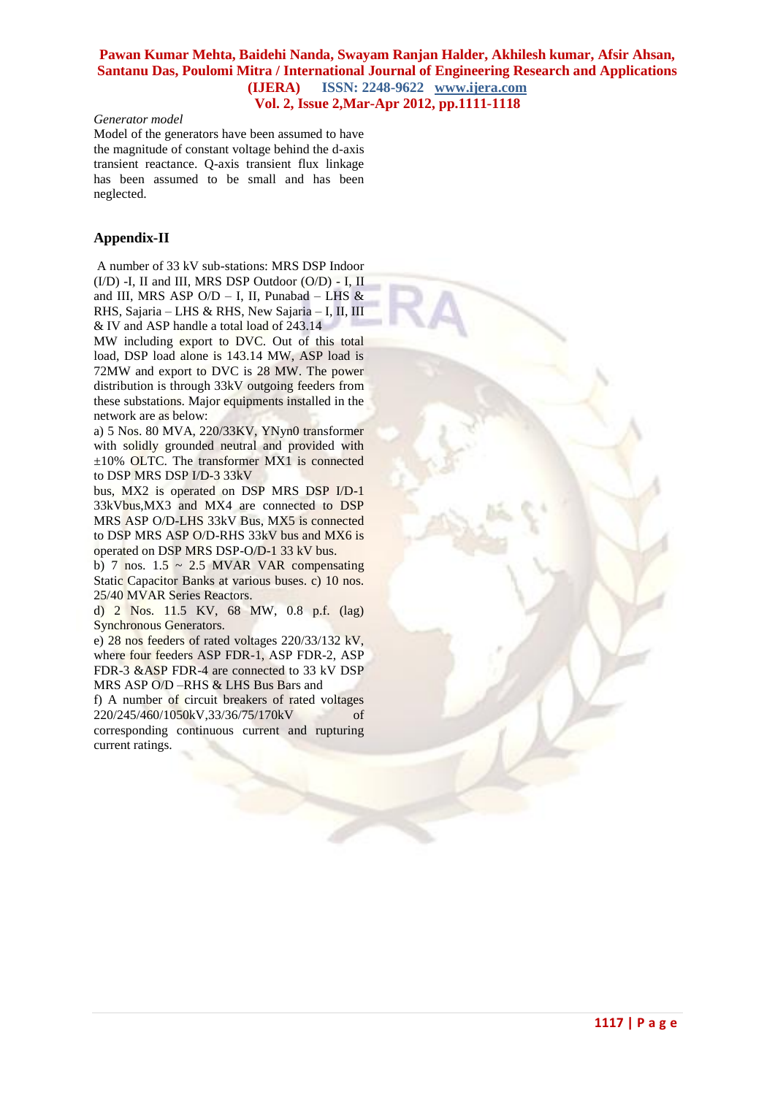#### *Generator model*

Model of the generators have been assumed to have the magnitude of constant voltage behind the d-axis transient reactance. Q-axis transient flux linkage has been assumed to be small and has been neglected.

#### **Appendix-II**

A number of 33 kV sub-stations: MRS DSP Indoor  $(I/D)$  -I, II and III, MRS DSP Outdoor  $(O/D)$  - I, II and III, MRS ASP O/D - I, II, Punabad - LHS  $\&$ RHS, Sajaria – LHS & RHS, New Sajaria – I, II, III & IV and ASP handle a total load of 243.14

MW including export to DVC. Out of this total load, DSP load alone is 143.14 MW, ASP load is 72MW and export to DVC is 28 MW. The power distribution is through 33kV outgoing feeders from these substations. Major equipments installed in the network are as below:

a) 5 Nos. 80 MVA, 220/33KV, YNyn0 transformer with solidly grounded neutral and provided with ±10% OLTC. The transformer MX1 is connected to DSP MRS DSP I/D-3 33kV

bus, MX2 is operated on DSP MRS DSP I/D-1 33kVbus,MX3 and MX4 are connected to DSP MRS ASP O/D-LHS 33kV Bus, MX5 is connected to DSP MRS ASP O/D-RHS 33kV bus and MX6 is operated on DSP MRS DSP-O/D-1 33 kV bus.

b) 7 nos.  $1.5 \sim 2.5$  MVAR VAR compensating Static Capacitor Banks at various buses. c) 10 nos. 25/40 MVAR Series Reactors.

d) 2 Nos. 11.5 KV, 68 MW, 0.8 p.f. (lag) Synchronous Generators.

e) 28 nos feeders of rated voltages 220/33/132 kV, where four feeders ASP FDR-1, ASP FDR-2, ASP FDR-3 &ASP FDR-4 are connected to 33 kV DSP MRS ASP O/D –RHS & LHS Bus Bars and

f) A number of circuit breakers of rated voltages 220/245/460/1050kV,33/36/75/170kV corresponding continuous current and rupturing current ratings.